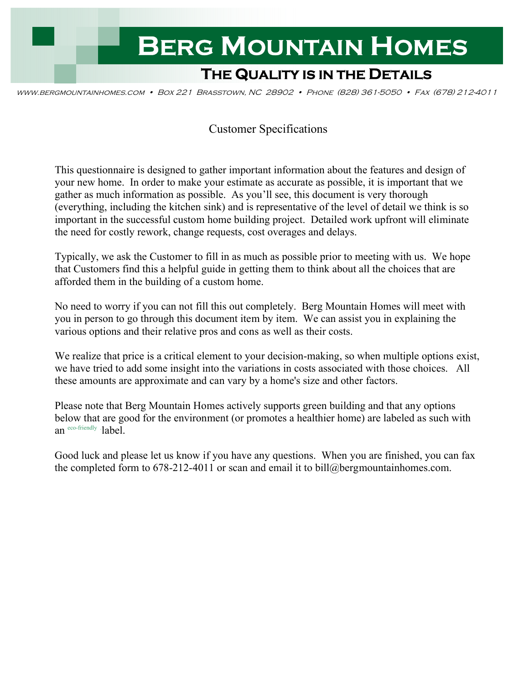

www.bergmountainhomes.com • Box 221 Brasstown, NC 28902 • Phone (828) 361-5050 • Fax (678) 212-4011

# Customer Specifications

This questionnaire is designed to gather important information about the features and design of your new home. In order to make your estimate as accurate as possible, it is important that we gather as much information as possible. As you'll see, this document is very thorough (everything, including the kitchen sink) and is representative of the level of detail we think is so important in the successful custom home building project. Detailed work upfront will eliminate the need for costly rework, change requests, cost overages and delays.

Typically, we ask the Customer to fill in as much as possible prior to meeting with us. We hope that Customers find this a helpful guide in getting them to think about all the choices that are afforded them in the building of a custom home.

No need to worry if you can not fill this out completely. Berg Mountain Homes will meet with you in person to go through this document item by item. We can assist you in explaining the various options and their relative pros and cons as well as their costs.

We realize that price is a critical element to your decision-making, so when multiple options exist, we have tried to add some insight into the variations in costs associated with those choices. All these amounts are approximate and can vary by a home's size and other factors.

Please note that Berg Mountain Homes actively supports green building and that any options below that are good for the environment (or promotes a healthier home) are labeled as such with an eco-friendly **label** 

Good luck and please let us know if you have any questions. When you are finished, you can fax the completed form to 678-212-4011 or scan and email it to bill@bergmountainhomes.com.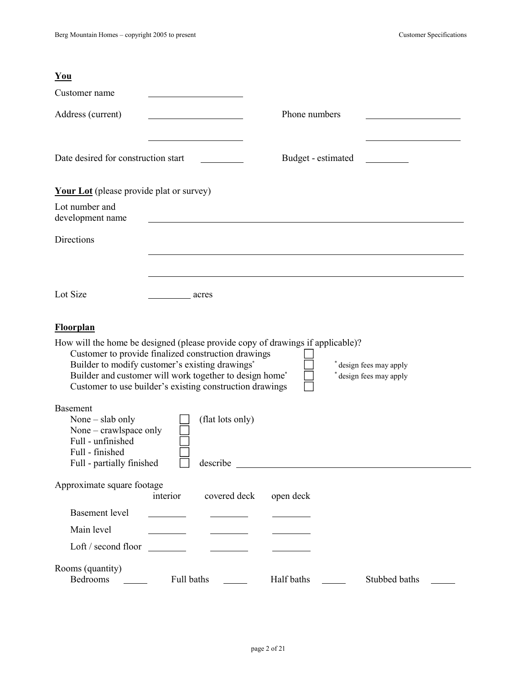| $You$                                                                                                                              |                                                                                                                                                                                                                               |                                                                                |                                                |
|------------------------------------------------------------------------------------------------------------------------------------|-------------------------------------------------------------------------------------------------------------------------------------------------------------------------------------------------------------------------------|--------------------------------------------------------------------------------|------------------------------------------------|
| Customer name                                                                                                                      |                                                                                                                                                                                                                               |                                                                                |                                                |
| Address (current)                                                                                                                  |                                                                                                                                                                                                                               | Phone numbers                                                                  |                                                |
|                                                                                                                                    |                                                                                                                                                                                                                               |                                                                                |                                                |
| Date desired for construction start                                                                                                |                                                                                                                                                                                                                               | Budget - estimated                                                             |                                                |
| <b>Your Lot</b> (please provide plat or survey)                                                                                    |                                                                                                                                                                                                                               |                                                                                |                                                |
| Lot number and<br>development name                                                                                                 |                                                                                                                                                                                                                               |                                                                                |                                                |
| Directions                                                                                                                         |                                                                                                                                                                                                                               |                                                                                |                                                |
|                                                                                                                                    |                                                                                                                                                                                                                               |                                                                                |                                                |
|                                                                                                                                    |                                                                                                                                                                                                                               |                                                                                |                                                |
| Lot Size                                                                                                                           | acres                                                                                                                                                                                                                         |                                                                                |                                                |
| <b>Floorplan</b>                                                                                                                   |                                                                                                                                                                                                                               |                                                                                |                                                |
|                                                                                                                                    | Customer to provide finalized construction drawings<br>Builder to modify customer's existing drawings*<br>Builder and customer will work together to design home*<br>Customer to use builder's existing construction drawings | How will the home be designed (please provide copy of drawings if applicable)? | design fees may apply<br>design fees may apply |
| <b>Basement</b><br>None – slab only<br>None – crawlspace only<br>Full - unfinished<br>Full - finished<br>Full - partially finished | (flat lots only)<br>describe                                                                                                                                                                                                  | <u> 1989 - Johann Barbara, martxa alemaniar arg</u>                            |                                                |
| Approximate square footage                                                                                                         | interior<br>covered deck                                                                                                                                                                                                      | open deck                                                                      |                                                |
| <b>Basement</b> level                                                                                                              |                                                                                                                                                                                                                               |                                                                                |                                                |
| Main level                                                                                                                         |                                                                                                                                                                                                                               |                                                                                |                                                |
| Loft / second floor                                                                                                                | $\mathcal{L}=\{1,2,3,4,5\}$ .<br><b>Contract Contract</b>                                                                                                                                                                     |                                                                                |                                                |
| Rooms (quantity)<br>Bedrooms                                                                                                       | Full baths                                                                                                                                                                                                                    | Half baths                                                                     | Stubbed baths                                  |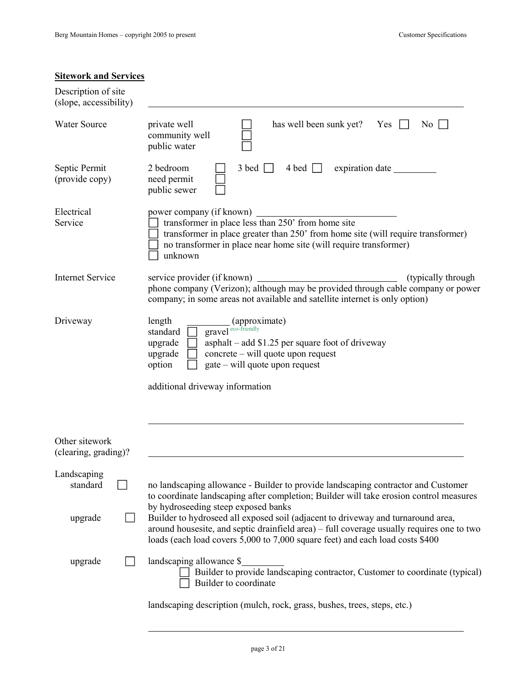## **Sitework and Services**

| Description of site<br>(slope, accessibility) |                                                                                                                                                                                                                                                                              |
|-----------------------------------------------|------------------------------------------------------------------------------------------------------------------------------------------------------------------------------------------------------------------------------------------------------------------------------|
| <b>Water Source</b>                           | has well been sunk yet?<br>private well<br>Yes<br>$\overline{N_0}$<br>community well<br>public water                                                                                                                                                                         |
| Septic Permit<br>(provide copy)               | 2 bedroom<br>$3 \text{ bed}$<br>4 bed separation date<br>need permit<br>public sewer                                                                                                                                                                                         |
| Electrical<br>Service                         | power company (if known)<br>ver company (11 known)<br>transformer in place less than 250' from home site<br>transformer in place greater than 250' from home site (will require transformer)<br>no transformer in place near home site (will require transformer)<br>unknown |
| <b>Internet Service</b>                       | service provider (if known)<br>(typically through)<br>phone company (Verizon); although may be provided through cable company or power<br>company; in some areas not available and satellite internet is only option)                                                        |
| Driveway                                      | length<br>$\frac{1}{\text{gravel}}$ (approximate)<br>standard<br>$a$ as phalt – add \$1.25 per square foot of driveway<br>upgrade<br>concrete - will quote upon request<br>upgrade<br>gate – will quote upon request<br>option<br>additional driveway information            |
| Other sitework<br>(clearing, grading)?        |                                                                                                                                                                                                                                                                              |
| Landscaping<br>standard                       | no landscaping allowance - Builder to provide landscaping contractor and Customer<br>to coordinate landscaping after completion; Builder will take erosion control measures<br>by hydroseeding steep exposed banks                                                           |
| upgrade                                       | Builder to hydroseed all exposed soil (adjacent to driveway and turnaround area,<br>around housesite, and septic drainfield area) – full coverage usually requires one to two<br>loads (each load covers 5,000 to 7,000 square feet) and each load costs \$400               |
| upgrade                                       | landscaping allowance \$<br>Builder to provide landscaping contractor, Customer to coordinate (typical)<br>Builder to coordinate                                                                                                                                             |
|                                               | landscaping description (mulch, rock, grass, bushes, trees, steps, etc.)                                                                                                                                                                                                     |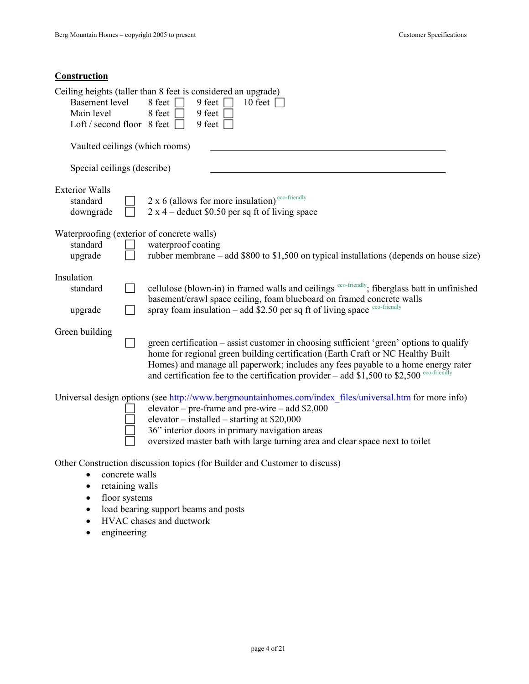## **Construction**

|                                                                   | Ceiling heights (taller than 8 feet is considered an upgrade)                                                                                                                                                                                                                                                                                                  |
|-------------------------------------------------------------------|----------------------------------------------------------------------------------------------------------------------------------------------------------------------------------------------------------------------------------------------------------------------------------------------------------------------------------------------------------------|
| <b>Basement</b> level<br>Main level                               | 9 feet $\vert$<br>10 feet $\Box$<br>8 feet<br>8 feet<br>9 feet                                                                                                                                                                                                                                                                                                 |
| Loft / second floor 8 feet $\Box$                                 | 9 feet $\vert$                                                                                                                                                                                                                                                                                                                                                 |
| Vaulted ceilings (which rooms)                                    |                                                                                                                                                                                                                                                                                                                                                                |
| Special ceilings (describe)                                       |                                                                                                                                                                                                                                                                                                                                                                |
| <b>Exterior Walls</b><br>standard<br>downgrade                    | $2 \times 6$ (allows for more insulation) <sup>eco-friendly</sup><br>$2 \times 4$ – deduct \$0.50 per sq ft of living space                                                                                                                                                                                                                                    |
| Waterproofing (exterior of concrete walls)<br>standard<br>upgrade | waterproof coating<br>rubber membrane – add \$800 to \$1,500 on typical installations (depends on house size)                                                                                                                                                                                                                                                  |
| Insulation<br>standard<br>upgrade                                 | cellulose (blown-in) in framed walls and ceilings eco-friendly; fiberglass batt in unfinished<br>basement/crawl space ceiling, foam blueboard on framed concrete walls<br>spray foam insulation $-$ add \$2.50 per sq ft of living space eco-friendly                                                                                                          |
| Green building                                                    | green certification – assist customer in choosing sufficient 'green' options to qualify<br>home for regional green building certification (Earth Craft or NC Healthy Built<br>Homes) and manage all paperwork; includes any fees payable to a home energy rater<br>and certification fee to the certification provider – add $$1,500$ to $$2,500$ eco-friendly |
|                                                                   | Universal design options (see http://www.bergmountainhomes.com/index files/universal.htm for more info)<br>elevator – pre-frame and pre-wire – add $$2,000$<br>elevator – installed – starting at $$20,000$<br>36" interior doors in primary navigation areas<br>oversized master bath with large turning area and clear space next to toilet                  |
| concrete walls<br>retaining walls                                 | Other Construction discussion topics (for Builder and Customer to discuss)                                                                                                                                                                                                                                                                                     |

- floor systems
- load bearing support beams and posts
- HVAC chases and ductwork
- engineering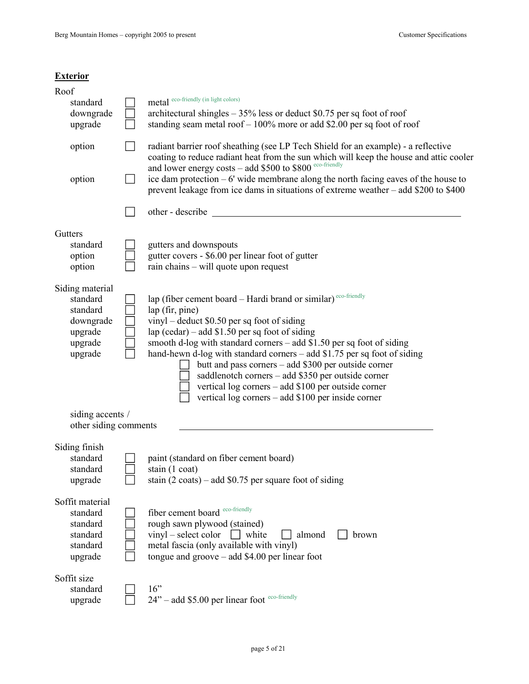### **Exterior**

| Roof                                      |                                                                                                                                                                                                                                         |
|-------------------------------------------|-----------------------------------------------------------------------------------------------------------------------------------------------------------------------------------------------------------------------------------------|
| standard                                  | metal eco-friendly (in light colors)                                                                                                                                                                                                    |
| downgrade                                 | architectural shingles $-35\%$ less or deduct \$0.75 per sq foot of roof                                                                                                                                                                |
| upgrade                                   | standing seam metal roof $-100\%$ more or add \$2.00 per sq foot of roof                                                                                                                                                                |
| option                                    | radiant barrier roof sheathing (see LP Tech Shield for an example) - a reflective<br>coating to reduce radiant heat from the sun which will keep the house and attic cooler<br>and lower energy costs - add \$500 to \$800 eco-friendly |
| option                                    | ice dam protection $-6'$ wide membrane along the north facing eaves of the house to<br>prevent leakage from ice dams in situations of extreme weather - add \$200 to \$400                                                              |
|                                           | other - describe                                                                                                                                                                                                                        |
| Gutters                                   |                                                                                                                                                                                                                                         |
| standard                                  | gutters and downspouts                                                                                                                                                                                                                  |
| option                                    | gutter covers - \$6.00 per linear foot of gutter                                                                                                                                                                                        |
| option                                    | rain chains – will quote upon request                                                                                                                                                                                                   |
| Siding material                           |                                                                                                                                                                                                                                         |
| standard                                  | lap (fiber cement board - Hardi brand or similar) <sup>eco-friendly</sup>                                                                                                                                                               |
| standard                                  | lap (fir, pine)                                                                                                                                                                                                                         |
| downgrade                                 | $vinyl - deduct$ \$0.50 per sq foot of siding                                                                                                                                                                                           |
| upgrade                                   | lap (cedar) – add \$1.50 per sq foot of siding                                                                                                                                                                                          |
| upgrade<br>upgrade                        | smooth d-log with standard corners – add \$1.50 per sq foot of siding<br>hand-hewn d-log with standard corners – add \$1.75 per sq foot of siding                                                                                       |
|                                           | butt and pass corners - add \$300 per outside corner                                                                                                                                                                                    |
|                                           | saddlenotch corners - add \$350 per outside corner                                                                                                                                                                                      |
|                                           | vertical log corners - add \$100 per outside corner                                                                                                                                                                                     |
|                                           | vertical log corners – add \$100 per inside corner                                                                                                                                                                                      |
| siding accents /<br>other siding comments |                                                                                                                                                                                                                                         |
|                                           |                                                                                                                                                                                                                                         |
| Siding finish                             |                                                                                                                                                                                                                                         |
| standard                                  | paint (standard on fiber cement board)                                                                                                                                                                                                  |
| standard                                  | stain $(1 \text{ coat})$<br>stain $(2 \text{ coats})$ – add \$0.75 per square foot of siding                                                                                                                                            |
| upgrade                                   |                                                                                                                                                                                                                                         |
| Soffit material                           |                                                                                                                                                                                                                                         |
| standard                                  | fiber cement board eco-friendly                                                                                                                                                                                                         |
| standard                                  | rough sawn plywood (stained)                                                                                                                                                                                                            |
| standard                                  | vinyl – select color<br>white<br>almond<br>brown                                                                                                                                                                                        |
| standard<br>upgrade                       | metal fascia (only available with vinyl)<br>tongue and $groove - add $4.00$ per linear foot                                                                                                                                             |
| Soffit size                               |                                                                                                                                                                                                                                         |
| standard                                  | 16"                                                                                                                                                                                                                                     |
| upgrade                                   | 24" - add \$5.00 per linear foot eco-friendly                                                                                                                                                                                           |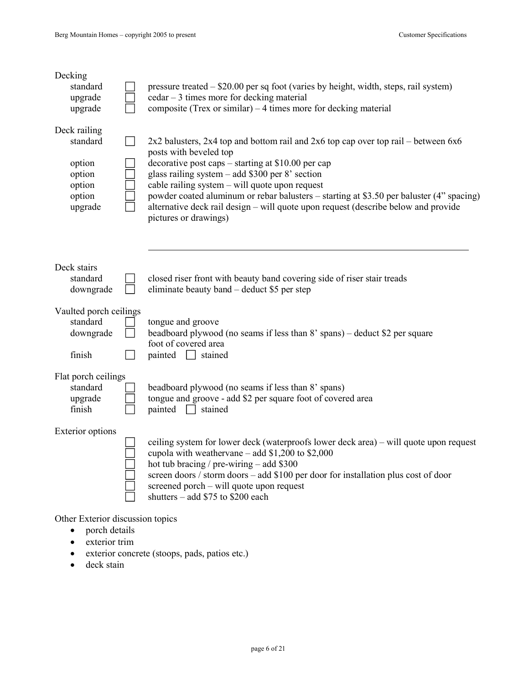| Decking<br>standard<br>upgrade<br>upgrade                                   |  | pressure treated – \$20.00 per sq foot (varies by height, width, steps, rail system)<br>cedar - 3 times more for decking material<br>composite (Trex or similar) $-4$ times more for decking material                                                                                                                                                                                                                                                                                      |  |  |  |  |  |
|-----------------------------------------------------------------------------|--|--------------------------------------------------------------------------------------------------------------------------------------------------------------------------------------------------------------------------------------------------------------------------------------------------------------------------------------------------------------------------------------------------------------------------------------------------------------------------------------------|--|--|--|--|--|
| Deck railing<br>standard<br>option<br>option<br>option<br>option<br>upgrade |  | $2x2$ balusters, $2x4$ top and bottom rail and $2x6$ top cap over top rail – between $6x6$<br>posts with beveled top<br>decorative post caps – starting at \$10.00 per cap<br>glass railing system - add \$300 per 8' section<br>cable railing system – will quote upon request<br>powder coated aluminum or rebar balusters – starting at \$3.50 per baluster (4" spacing)<br>alternative deck rail design – will quote upon request (describe below and provide<br>pictures or drawings) |  |  |  |  |  |
| Deck stairs<br>standard                                                     |  | closed riser front with beauty band covering side of riser stair treads                                                                                                                                                                                                                                                                                                                                                                                                                    |  |  |  |  |  |
| downgrade                                                                   |  | eliminate beauty band – deduct \$5 per step                                                                                                                                                                                                                                                                                                                                                                                                                                                |  |  |  |  |  |
| Vaulted porch ceilings<br>standard<br>downgrade                             |  | tongue and groove<br>beadboard plywood (no seams if less than 8' spans) – deduct \$2 per square<br>foot of covered area                                                                                                                                                                                                                                                                                                                                                                    |  |  |  |  |  |
| finish                                                                      |  | painted<br>$\exists$ stained                                                                                                                                                                                                                                                                                                                                                                                                                                                               |  |  |  |  |  |
| Flat porch ceilings<br>standard<br>upgrade<br>finish                        |  | beadboard plywood (no seams if less than 8' spans)<br>tongue and groove - add \$2 per square foot of covered area<br>painted<br>stained                                                                                                                                                                                                                                                                                                                                                    |  |  |  |  |  |
| <b>Exterior options</b>                                                     |  | ceiling system for lower deck (waterproofs lower deck area) – will quote upon request<br>cupola with weathervane – add $$1,200$ to $$2,000$<br>hot tub bracing / pre-wiring $-$ add \$300<br>screen doors / storm doors - add \$100 per door for installation plus cost of door<br>screened porch – will quote upon request<br>shutters – add \$75 to \$200 each                                                                                                                           |  |  |  |  |  |

Other Exterior discussion topics

- porch details
- exterior trim
- exterior concrete (stoops, pads, patios etc.)
- deck stain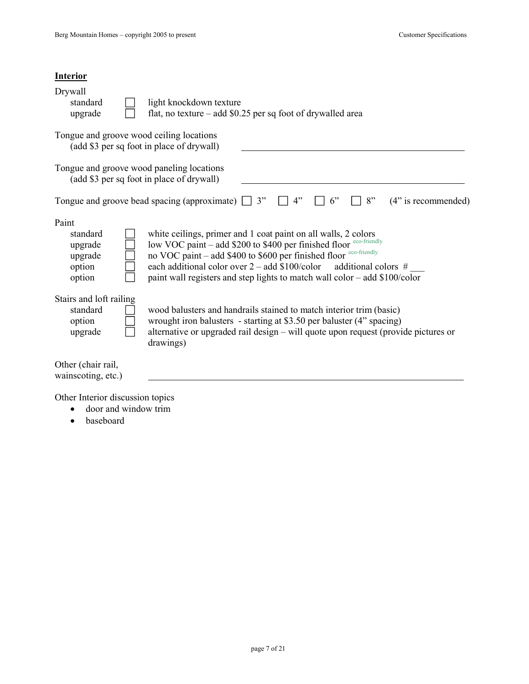| <b>Interior</b>                                                                        |                                                                                                                                                                                                                                                                                                                                                                 |
|----------------------------------------------------------------------------------------|-----------------------------------------------------------------------------------------------------------------------------------------------------------------------------------------------------------------------------------------------------------------------------------------------------------------------------------------------------------------|
| Drywall<br>standard<br>upgrade                                                         | light knockdown texture<br>flat, no texture - add \$0.25 per sq foot of drywalled area                                                                                                                                                                                                                                                                          |
| Tongue and groove wood ceiling locations<br>(add \$3 per sq foot in place of drywall)  |                                                                                                                                                                                                                                                                                                                                                                 |
| Tongue and groove wood paneling locations<br>(add \$3 per sq foot in place of drywall) |                                                                                                                                                                                                                                                                                                                                                                 |
|                                                                                        | 3"<br>4"<br>8"<br>$(4"$ is recommended)<br>Tongue and groove bead spacing (approximate)<br>6"                                                                                                                                                                                                                                                                   |
| Paint<br>standard<br>upgrade<br>upgrade<br>option<br>option                            | white ceilings, primer and 1 coat paint on all walls, 2 colors<br>low VOC paint - add \$200 to \$400 per finished floor eco-friendly<br>no VOC paint - add \$400 to \$600 per finished floor eco-friendly<br>each additional color over $2 - add $100$ /color additional colors #<br>paint wall registers and step lights to match wall color – add \$100/color |
| Stairs and loft railing<br>standard<br>option<br>upgrade                               | wood balusters and handrails stained to match interior trim (basic)<br>wrought iron balusters - starting at \$3.50 per baluster (4" spacing)<br>alternative or upgraded rail design – will quote upon request (provide pictures or<br>drawings)                                                                                                                 |
| Other (chair rail,<br>wainscoting, etc.)                                               |                                                                                                                                                                                                                                                                                                                                                                 |

Other Interior discussion topics

- door and window trim
- baseboard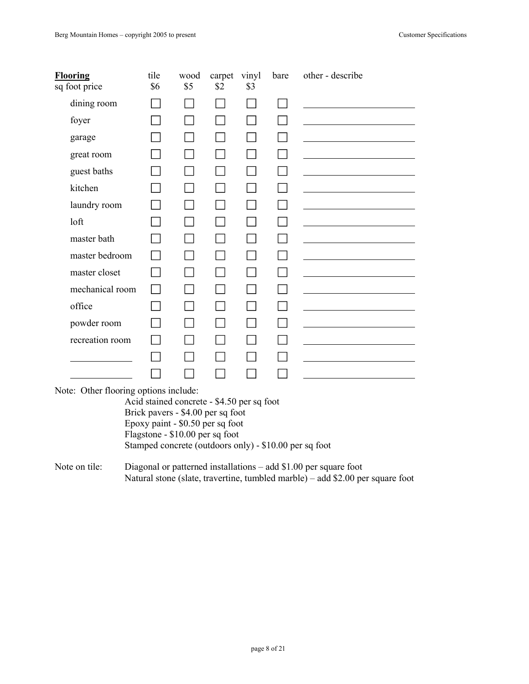| <b>Flooring</b><br>sq foot price | tile<br>\$6 | wood<br>\$5 | carpet<br>\$2 | vinyl<br>\$3 | bare | other - describe |
|----------------------------------|-------------|-------------|---------------|--------------|------|------------------|
| dining room                      |             |             |               |              |      |                  |
| foyer                            |             |             |               |              |      |                  |
| garage                           |             |             |               |              |      |                  |
| great room                       |             |             |               |              |      |                  |
| guest baths                      |             |             |               |              |      |                  |
| kitchen                          |             |             |               |              |      |                  |
| laundry room                     |             |             |               |              |      |                  |
| loft                             |             |             |               |              |      |                  |
| master bath                      |             |             |               |              |      |                  |
| master bedroom                   |             |             |               |              |      |                  |
| master closet                    |             |             |               |              |      |                  |
| mechanical room                  |             |             |               |              |      |                  |
| office                           |             |             |               |              |      |                  |
| powder room                      |             |             |               |              |      |                  |
| recreation room                  |             |             |               |              |      |                  |
|                                  |             |             |               |              |      |                  |
|                                  |             |             |               |              |      |                  |

Note: Other flooring options include:

Acid stained concrete - \$4.50 per sq foot Brick pavers - \$4.00 per sq foot Epoxy paint - \$0.50 per sq foot Flagstone - \$10.00 per sq foot Stamped concrete (outdoors only) - \$10.00 per sq foot

Note on tile: Diagonal or patterned installations – add \$1.00 per square foot Natural stone (slate, travertine, tumbled marble) – add \$2.00 per square foot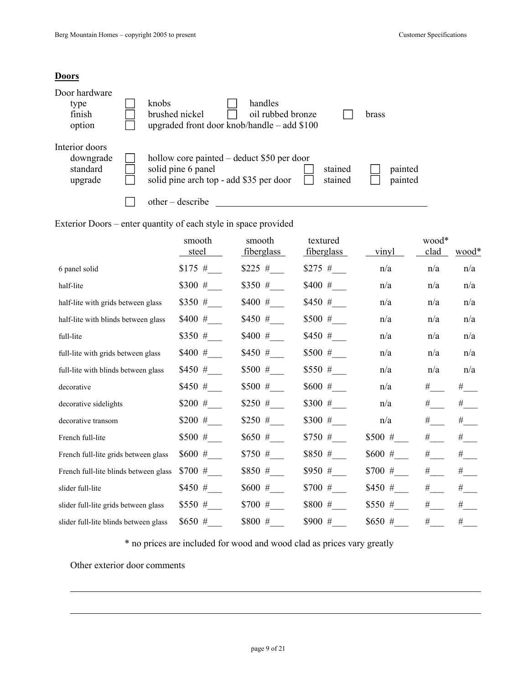#### **Doors**

| Door hardware<br>type<br>finish<br>option          | handles<br>knobs<br>brushed nickel<br>oil rubbed bronze<br>brass<br>upgraded front door knob/handle $-$ add \$100                                       |  |
|----------------------------------------------------|---------------------------------------------------------------------------------------------------------------------------------------------------------|--|
| Interior doors<br>downgrade<br>standard<br>upgrade | hollow core painted – deduct \$50 per door<br>solid pine 6 panel<br>stained<br>painted<br>painted<br>solid pine arch top - add \$35 per door<br>stained |  |
|                                                    | $other - describe$                                                                                                                                      |  |

Exterior Doors – enter quantity of each style in space provided

|                                       | smooth<br>steel | smooth<br>fiberglass | textured<br><u>fiberglass</u> | vinyl    | wood*<br>clad | $\frac{\text{wood*}}{\text{}}$ |
|---------------------------------------|-----------------|----------------------|-------------------------------|----------|---------------|--------------------------------|
| 6 panel solid                         | $$175$ #        | $$225$ #             | $$275$ #                      | n/a      | n/a           | n/a                            |
| half-lite                             | $$300$ #        | $$350$ #             | $$400$ #                      | n/a      | n/a           | n/a                            |
| half-lite with grids between glass    | $$350$ #        | $$400$ #             | $$450$ #                      | n/a      | n/a           | n/a                            |
| half-lite with blinds between glass   | $$400$ #        | $$450$ #             | $$500$ #                      | n/a      | n/a           | n/a                            |
| full-lite                             | $$350$ #        | $$400$ #             | $$450$ #                      | n/a      | n/a           | n/a                            |
| full-lite with grids between glass    | $$400$ #        | $$450$ #             | $$500$ #                      | n/a      | n/a           | n/a                            |
| full-lite with blinds between glass   | $$450$ #        | $$500$ #             | $$550$ #                      | n/a      | n/a           | n/a                            |
| decorative                            | $$450$ #        | $$500$ #             | $$600$ #                      | n/a      | #             | #                              |
| decorative sidelights                 | $$200$ #        | $$250$ #             | $$300$ #                      | n/a      | #             | #                              |
| decorative transom                    | $$200$ #        | $$250$ #             | $$300$ #                      | n/a      | #             | #                              |
| French full-lite                      | $$500$ #        | \$650#               | $$750$ #                      | $$500$ # | #             | #                              |
| French full-lite grids between glass  | $$600$ #        | $$750$ #             | \$850 #                       | $$600$ # | $\#$          | #                              |
| French full-lite blinds between glass | $$700$ #        | \$850#               | $$950$ #                      | $$700$ # | #             | #                              |
| slider full-lite                      | $$450$ #        | $$600$ #             | $$700$ #                      | $$450$ # | #             | #                              |
| slider full-lite grids between glass  | \$550#          | $$700$ #             | \$800#                        | $$550$ # | #             | #                              |
| slider full-lite blinds between glass | \$650#          | \$800 #              | $$900$ #                      | $$650$ # | $\#$          | #                              |

\* no prices are included for wood and wood clad as prices vary greatly

Other exterior door comments

 $\overline{a}$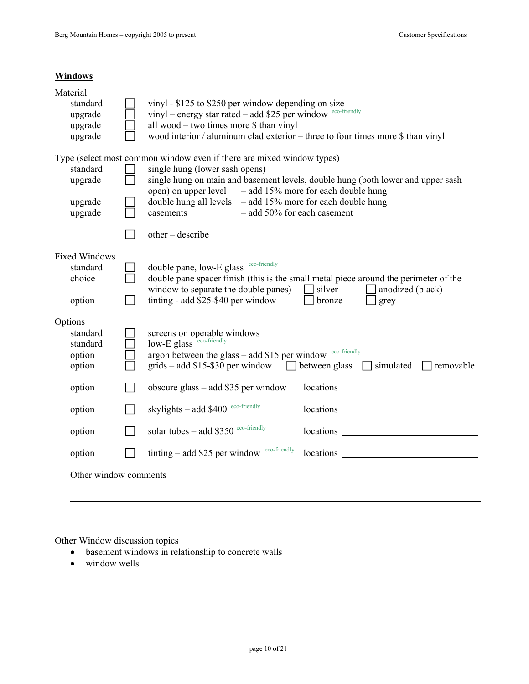### **Windows**

| Material<br>standard  |  | vinyl - \$125 to \$250 per window depending on size                                                                                                                                                                                                         |                                                                                                                                                                                                                                |  |  |  |  |
|-----------------------|--|-------------------------------------------------------------------------------------------------------------------------------------------------------------------------------------------------------------------------------------------------------------|--------------------------------------------------------------------------------------------------------------------------------------------------------------------------------------------------------------------------------|--|--|--|--|
| upgrade               |  | vinyl - energy star rated - add \$25 per window eco-friendly                                                                                                                                                                                                |                                                                                                                                                                                                                                |  |  |  |  |
| upgrade<br>upgrade    |  | all wood – two times more \$ than vinyl<br>wood interior / aluminum clad exterior – three to four times more \$ than vinyl                                                                                                                                  |                                                                                                                                                                                                                                |  |  |  |  |
|                       |  |                                                                                                                                                                                                                                                             |                                                                                                                                                                                                                                |  |  |  |  |
| standard              |  | Type (select most common window even if there are mixed window types)<br>single hung (lower sash opens)                                                                                                                                                     |                                                                                                                                                                                                                                |  |  |  |  |
| upgrade               |  | single hung on main and basement levels, double hung (both lower and upper sash<br>open) on upper level $-$ add 15% more for each double hung<br>double hung all levels $-$ add 15% more for each double hung<br>$-$ add 50% for each casement<br>casements |                                                                                                                                                                                                                                |  |  |  |  |
|                       |  |                                                                                                                                                                                                                                                             |                                                                                                                                                                                                                                |  |  |  |  |
| upgrade<br>upgrade    |  |                                                                                                                                                                                                                                                             |                                                                                                                                                                                                                                |  |  |  |  |
|                       |  | $other - describe$                                                                                                                                                                                                                                          |                                                                                                                                                                                                                                |  |  |  |  |
| <b>Fixed Windows</b>  |  |                                                                                                                                                                                                                                                             |                                                                                                                                                                                                                                |  |  |  |  |
| standard<br>choice    |  | double pane, low-E glass eco-friendly                                                                                                                                                                                                                       |                                                                                                                                                                                                                                |  |  |  |  |
|                       |  | window to separate the double panes)                                                                                                                                                                                                                        | double pane spacer finish (this is the small metal piece around the perimeter of the<br>silver<br>anodized (black)                                                                                                             |  |  |  |  |
| option                |  | tinting - add \$25-\$40 per window                                                                                                                                                                                                                          | bronze<br>grey                                                                                                                                                                                                                 |  |  |  |  |
| Options               |  |                                                                                                                                                                                                                                                             |                                                                                                                                                                                                                                |  |  |  |  |
| standard<br>standard  |  | screens on operable windows<br>low-E glass eco-friendly                                                                                                                                                                                                     |                                                                                                                                                                                                                                |  |  |  |  |
| option                |  | argon between the glass $-$ add \$15 per window $e^{co-friendly}$                                                                                                                                                                                           |                                                                                                                                                                                                                                |  |  |  |  |
| option                |  | $grids - add $15 - $30$ per window                                                                                                                                                                                                                          | between glass $\Box$ simulated $\Box$ removable                                                                                                                                                                                |  |  |  |  |
| option                |  | obscure glass $-$ add \$35 per window                                                                                                                                                                                                                       | locations                                                                                                                                                                                                                      |  |  |  |  |
| option                |  | skylights - add \$400 eco-friendly                                                                                                                                                                                                                          | locations and the state of the state of the state of the state of the state of the state of the state of the state of the state of the state of the state of the state of the state of the state of the state of the state of  |  |  |  |  |
| option                |  | solar tubes - add \$350 eco-friendly                                                                                                                                                                                                                        |                                                                                                                                                                                                                                |  |  |  |  |
| option                |  | tinting - add \$25 per window eco-friendly                                                                                                                                                                                                                  | locations and the set of the set of the set of the set of the set of the set of the set of the set of the set of the set of the set of the set of the set of the set of the set of the set of the set of the set of the set of |  |  |  |  |
| Other window comments |  |                                                                                                                                                                                                                                                             |                                                                                                                                                                                                                                |  |  |  |  |
|                       |  |                                                                                                                                                                                                                                                             |                                                                                                                                                                                                                                |  |  |  |  |

Other Window discussion topics

- basement windows in relationship to concrete walls
- window wells

 $\overline{a}$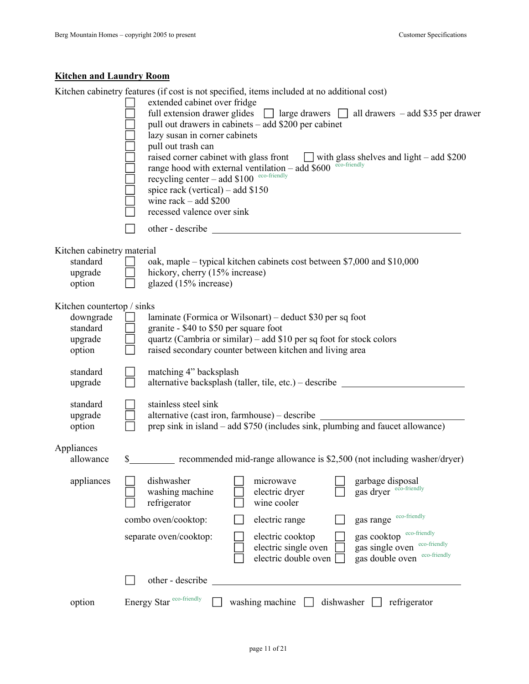## **Kitchen and Laundry Room**

Kitchen cabinetry features (if cost is not specified, items included at no additional cost)

|                                                                          | extended cabinet over fridge<br>full extension drawer glides<br>pull out drawers in cabinets – add \$200 per cabinet<br>lazy susan in corner cabinets<br>pull out trash can<br>recycling center - add \$100 eco-friendly<br>spice rack (vertical) – add $$150$<br>wine $rack - add $200$<br>recessed valence over sink |                                                                  |            | $\Box$ large drawers $\Box$ all drawers – add \$35 per drawer<br>raised corner cabinet with glass front $\Box$ with glass shelves and light – add \$200 range hood with external ventilation – add \$600 $\degree$ <sup>oco-friendly</sup> |
|--------------------------------------------------------------------------|------------------------------------------------------------------------------------------------------------------------------------------------------------------------------------------------------------------------------------------------------------------------------------------------------------------------|------------------------------------------------------------------|------------|--------------------------------------------------------------------------------------------------------------------------------------------------------------------------------------------------------------------------------------------|
|                                                                          |                                                                                                                                                                                                                                                                                                                        |                                                                  |            |                                                                                                                                                                                                                                            |
| Kitchen cabinetry material<br>standard<br>upgrade<br>option              | oak, maple – typical kitchen cabinets cost between \$7,000 and \$10,000<br>hickory, cherry (15% increase)<br>glazed (15% increase)                                                                                                                                                                                     |                                                                  |            |                                                                                                                                                                                                                                            |
| Kitchen countertop / sinks<br>downgrade<br>standard<br>upgrade<br>option | laminate (Formica or Wilsonart) – deduct \$30 per sq foot<br>granite - \$40 to \$50 per square foot<br>quartz (Cambria or similar) – add \$10 per sq foot for stock colors<br>raised secondary counter between kitchen and living area                                                                                 |                                                                  |            |                                                                                                                                                                                                                                            |
| standard<br>upgrade                                                      | matching 4" backsplash<br>alternative backsplash (taller, tile, etc.) – describe                                                                                                                                                                                                                                       |                                                                  |            |                                                                                                                                                                                                                                            |
| standard<br>upgrade<br>option                                            | stainless steel sink                                                                                                                                                                                                                                                                                                   |                                                                  |            | alternative (cast iron, farmhouse) – describe __________________________________<br>prep sink in island – add \$750 (includes sink, plumbing and faucet allowance)                                                                         |
| Appliances<br>allowance                                                  | \$                                                                                                                                                                                                                                                                                                                     |                                                                  |            | recommended mid-range allowance is \$2,500 (not including washer/dryer)                                                                                                                                                                    |
| appliances                                                               | dishwasher<br>washing machine<br>refrigerator                                                                                                                                                                                                                                                                          | microwave<br>electric dryer<br>wine cooler                       |            | garbage disposal<br>gas dryer eco-friendly                                                                                                                                                                                                 |
|                                                                          | combo oven/cooktop:                                                                                                                                                                                                                                                                                                    | electric range                                                   |            | gas range eco-friendly                                                                                                                                                                                                                     |
|                                                                          | separate oven/cooktop:                                                                                                                                                                                                                                                                                                 | electric cooktop<br>electric single oven<br>electric double oven |            | gas cooktop eco-friendly<br>gas single oven eco-friendly<br>gas double oven eco-friendly                                                                                                                                                   |
|                                                                          | other - describe                                                                                                                                                                                                                                                                                                       |                                                                  |            |                                                                                                                                                                                                                                            |
| option                                                                   | Energy Star eco-friendly                                                                                                                                                                                                                                                                                               | washing machine                                                  | dishwasher | refrigerator                                                                                                                                                                                                                               |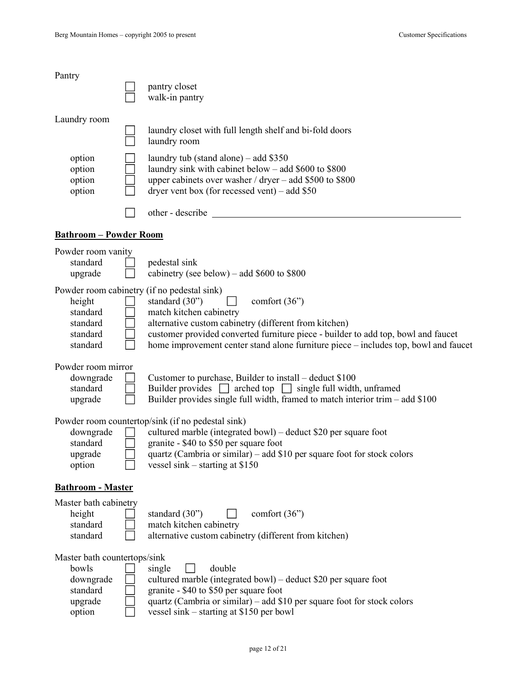| Pantry                               |                                                                                                                                                                                                              |
|--------------------------------------|--------------------------------------------------------------------------------------------------------------------------------------------------------------------------------------------------------------|
|                                      | pantry closet<br>walk-in pantry                                                                                                                                                                              |
| Laundry room                         |                                                                                                                                                                                                              |
|                                      | laundry closet with full length shelf and bi-fold doors<br>laundry room                                                                                                                                      |
| option<br>option<br>option<br>option | laundry tub (stand alone) $-$ add \$350<br>laundry sink with cabinet below – add \$600 to \$800<br>upper cabinets over washer / dryer – add \$500 to \$800<br>dryer vent box (for recessed vent) – add $$50$ |
|                                      | other - describe                                                                                                                                                                                             |
| <b>Bathroom - Powder Room</b>        |                                                                                                                                                                                                              |
| Powder room vanity                   |                                                                                                                                                                                                              |
| standard<br>upgrade                  | pedestal sink<br>cabinetry (see below) – add $$600$ to $$800$                                                                                                                                                |
|                                      | Powder room cabinetry (if no pedestal sink)                                                                                                                                                                  |
| height<br>standard                   | standard $(30)$<br>comfort $(36)$<br>match kitchen cabinetry                                                                                                                                                 |
| standard                             | alternative custom cabinetry (different from kitchen)                                                                                                                                                        |
| standard<br>standard                 | customer provided converted furniture piece - builder to add top, bowl and faucet<br>home improvement center stand alone furniture piece – includes top, bowl and faucet                                     |
| Powder room mirror                   |                                                                                                                                                                                                              |
| downgrade                            | Customer to purchase, Builder to install – deduct \$100                                                                                                                                                      |
| standard<br>upgrade                  | Builder provides $\Box$ arched top $\Box$ single full width, unframed<br>Builder provides single full width, framed to match interior trim – add \$100                                                       |
|                                      |                                                                                                                                                                                                              |
|                                      | Powder room countertop/sink (if no pedestal sink)<br>cultured marble (integrated bowl) - deduct \$20 per square foot                                                                                         |
| downgrade<br>standard                | granite - \$40 to \$50 per square foot                                                                                                                                                                       |
| upgrade                              | quartz (Cambria or similar) – add \$10 per square foot for stock colors                                                                                                                                      |
| option                               | vessel sink – starting at $$150$                                                                                                                                                                             |
| <b>Bathroom - Master</b>             |                                                                                                                                                                                                              |
| Master bath cabinetry                |                                                                                                                                                                                                              |
| height<br>standard                   | standard $(30)$<br>comfort $(36)$<br>match kitchen cabinetry                                                                                                                                                 |
| standard                             | alternative custom cabinetry (different from kitchen)                                                                                                                                                        |
| Master bath countertops/sink         |                                                                                                                                                                                                              |
| bowls                                | double<br>single                                                                                                                                                                                             |
| downgrade<br>standard                | cultured marble (integrated bowl) – deduct \$20 per square foot<br>granite - \$40 to \$50 per square foot                                                                                                    |
| upgrade                              | quartz (Cambria or similar) – add $$10$ per square foot for stock colors                                                                                                                                     |
| option                               | vessel sink – starting at \$150 per bowl                                                                                                                                                                     |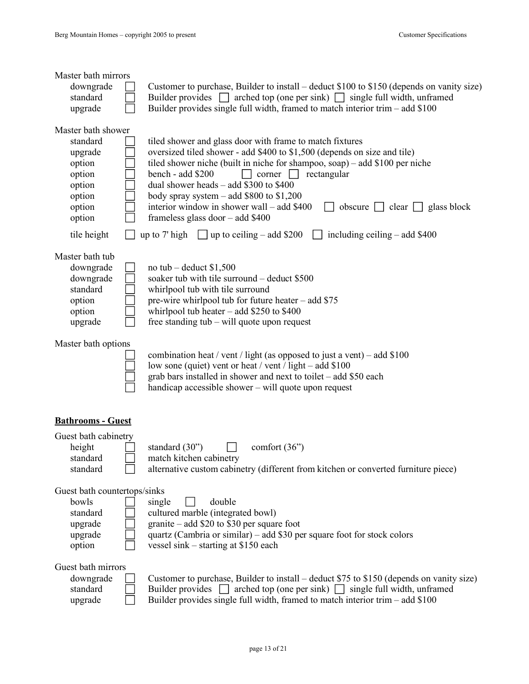| Master bath mirrors                                                                  |                                                                                                                                                                                                                                                                                                                                                                                                                                                                                                   |
|--------------------------------------------------------------------------------------|---------------------------------------------------------------------------------------------------------------------------------------------------------------------------------------------------------------------------------------------------------------------------------------------------------------------------------------------------------------------------------------------------------------------------------------------------------------------------------------------------|
| downgrade<br>standard                                                                | Customer to purchase, Builder to install – deduct \$100 to \$150 (depends on vanity size)<br>Builder provides $\Box$ arched top (one per sink) $\Box$ single full width, unframed                                                                                                                                                                                                                                                                                                                 |
| upgrade                                                                              | Builder provides single full width, framed to match interior trim $-$ add \$100                                                                                                                                                                                                                                                                                                                                                                                                                   |
| Master bath shower                                                                   |                                                                                                                                                                                                                                                                                                                                                                                                                                                                                                   |
| standard<br>upgrade<br>option<br>option<br>option<br>option<br>option<br>option      | tiled shower and glass door with frame to match fixtures<br>oversized tiled shower - add \$400 to \$1,500 (depends on size and tile)<br>tiled shower niche (built in niche for shampoo, soap) – add $$100$ per niche<br>rectangular<br>bench - add \$200<br>$corner$    <br>dual shower heads $-$ add \$300 to \$400<br>body spray system $-$ add \$800 to \$1,200<br>interior window in shower wall – add \$400<br>obscure $\Box$ clear $\Box$ glass block<br>frameless glass door $-$ add \$400 |
| tile height                                                                          | including ceiling $-$ add \$400<br>up to $7'$ high<br>$\Box$ up to ceiling – add \$200                                                                                                                                                                                                                                                                                                                                                                                                            |
| Master bath tub<br>downgrade<br>downgrade<br>standard<br>option<br>option<br>upgrade | no tub – deduct $$1,500$<br>soaker tub with tile surround – deduct \$500<br>whirlpool tub with tile surround<br>pre-wire whirlpool tub for future heater - add \$75<br>whirlpool tub heater $-$ add \$250 to \$400<br>free standing tub – will quote upon request                                                                                                                                                                                                                                 |
| Master bath options                                                                  | combination heat / vent / light (as opposed to just a vent) – add $$100$<br>low sone (quiet) vent or heat / vent / light – add \$100<br>grab bars installed in shower and next to toilet - add \$50 each<br>handicap accessible shower – will quote upon request                                                                                                                                                                                                                                  |
| <b>Bathrooms - Guest</b>                                                             |                                                                                                                                                                                                                                                                                                                                                                                                                                                                                                   |
| Guest bath cabinetry<br>height<br>standard<br>standard                               | standard (30")<br>comfort $(36)$<br>match kitchen cabinetry<br>alternative custom cabinetry (different from kitchen or converted furniture piece)                                                                                                                                                                                                                                                                                                                                                 |
| Guest bath countertops/sinks<br>bowls<br>standard<br>upgrade<br>upgrade<br>option    | double<br>single<br>cultured marble (integrated bowl)<br>granite $-$ add \$20 to \$30 per square foot<br>quartz (Cambria or similar) – add \$30 per square foot for stock colors<br>vessel sink – starting at \$150 each                                                                                                                                                                                                                                                                          |
| Guest bath mirrors<br>downgrade<br>standard<br>upgrade                               | Customer to purchase, Builder to install – deduct \$75 to \$150 (depends on vanity size)<br>Builder provides $\Box$ arched top (one per sink) $\Box$ single full width, unframed<br>Builder provides single full width, framed to match interior trim $-$ add \$100                                                                                                                                                                                                                               |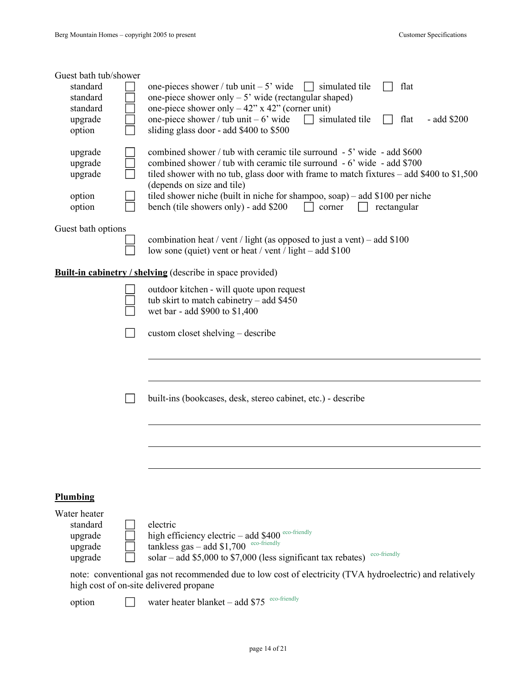| Guest bath tub/shower |                                                                                                                                                    |
|-----------------------|----------------------------------------------------------------------------------------------------------------------------------------------------|
| standard<br>standard  | flat<br>one-pieces shower / tub unit $-5$ ' wide<br>$\vert$ simulated tile<br>one-piece shower only $-5'$ wide (rectangular shaped)                |
| standard              | one-piece shower only $-42$ " x 42" (corner unit)                                                                                                  |
| upgrade<br>option     | one-piece shower / tub unit $-6'$ wide<br>simulated tile<br>flat<br>- add \$200<br>sliding glass door - add \$400 to \$500                         |
|                       | combined shower / tub with ceramic tile surround - 5' wide - add \$600                                                                             |
| upgrade<br>upgrade    | combined shower / tub with ceramic tile surround - 6' wide - add \$700                                                                             |
| upgrade               | tiled shower with no tub, glass door with frame to match fixtures – add \$400 to \$1,500<br>(depends on size and tile)                             |
| option                | tiled shower niche (built in niche for shampoo, soap) – add \$100 per niche                                                                        |
| option                | bench (tile showers only) - add \$200<br>rectangular<br>corner                                                                                     |
| Guest bath options    |                                                                                                                                                    |
|                       | combination heat / vent / light (as opposed to just a vent) – add $$100$<br>low sone (quiet) vent or heat / vent / light – add \$100               |
|                       | <b>Built-in cabinetry / shelving (describe in space provided)</b>                                                                                  |
|                       | outdoor kitchen - will quote upon request                                                                                                          |
|                       | tub skirt to match cabinetry – add $$450$<br>wet bar - add \$900 to \$1,400                                                                        |
|                       |                                                                                                                                                    |
|                       | custom closet shelving – describe                                                                                                                  |
|                       |                                                                                                                                                    |
|                       |                                                                                                                                                    |
|                       | built-ins (bookcases, desk, stereo cabinet, etc.) - describe                                                                                       |
|                       |                                                                                                                                                    |
|                       |                                                                                                                                                    |
|                       |                                                                                                                                                    |
|                       |                                                                                                                                                    |
|                       |                                                                                                                                                    |
| Plumbing              |                                                                                                                                                    |
| Water heater          |                                                                                                                                                    |
| standard<br>upgrade   | electric<br>high efficiency electric - add \$400 eco-friendly                                                                                      |
| upgrade               | tankless gas $-$ add \$1,700 $^{\text{eco-friendly}}$                                                                                              |
| upgrade               | eco-friendly<br>solar – add $$5,000$ to $$7,000$ (less significant tax rebates)                                                                    |
|                       | note: conventional gas not recommended due to low cost of electricity (TVA hydroelectric) and relatively<br>high cost of on-site delivered propane |
| option                | eco-friendly<br>water heater blanket - add \$75                                                                                                    |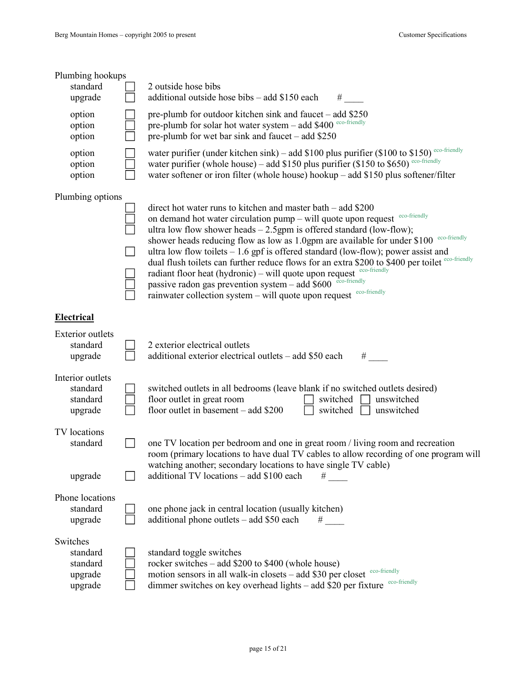| Plumbing hookups<br>standard<br>upgrade                | 2 outside hose bibs<br>additional outside hose bibs – add \$150 each                                                                                                                                                                                                                                                                                                                                                                                                                                                                                                                                                                                                                                                                                                     |
|--------------------------------------------------------|--------------------------------------------------------------------------------------------------------------------------------------------------------------------------------------------------------------------------------------------------------------------------------------------------------------------------------------------------------------------------------------------------------------------------------------------------------------------------------------------------------------------------------------------------------------------------------------------------------------------------------------------------------------------------------------------------------------------------------------------------------------------------|
| option<br>option<br>option                             | pre-plumb for outdoor kitchen sink and faucet – add \$250<br>pre-plumb for solar hot water system - add \$400 eco-friendly<br>pre-plumb for wet bar sink and faucet – add $$250$                                                                                                                                                                                                                                                                                                                                                                                                                                                                                                                                                                                         |
| option<br>option<br>option                             | water purifier (under kitchen sink) – add \$100 plus purifier (\$100 to \$150) eco-friendly<br>water purifier (whole house) – add \$150 plus purifier (\$150 to \$650) eco-friendly<br>water softener or iron filter (whole house) hookup – add \$150 plus softener/filter                                                                                                                                                                                                                                                                                                                                                                                                                                                                                               |
| Plumbing options                                       | direct hot water runs to kitchen and master bath – add \$200<br>eco-friendly<br>on demand hot water circulation pump – will quote upon request<br>ultra low flow shower heads $-2.5$ gpm is offered standard (low-flow);<br>eco-friendly<br>shower heads reducing flow as low as 1.0gpm are available for under \$100<br>ultra low flow toilets $-1.6$ gpf is offered standard (low-flow); power assist and<br>dual flush toilets can further reduce flows for an extra \$200 to \$400 per toilet eco-friendly<br>radiant floor heat (hydronic) – will quote upon request $e^{c \cdot c \cdot f\text{rendly}}$<br>passive radon gas prevention system - add \$600 eco-friendly<br>rainwater collection system $-$ will quote upon request $e^{c \cdot c \cdot f\text{t}$ |
| <b>Electrical</b>                                      |                                                                                                                                                                                                                                                                                                                                                                                                                                                                                                                                                                                                                                                                                                                                                                          |
| <b>Exterior</b> outlets<br>standard<br>upgrade         | 2 exterior electrical outlets<br>additional exterior electrical outlets – add \$50 each                                                                                                                                                                                                                                                                                                                                                                                                                                                                                                                                                                                                                                                                                  |
| Interior outlets<br>standard<br>standard<br>upgrade    | switched outlets in all bedrooms (leave blank if no switched outlets desired)<br>floor outlet in great room<br>unswitched<br>switched<br>floor outlet in basement $-$ add \$200<br>switched<br>unswitched                                                                                                                                                                                                                                                                                                                                                                                                                                                                                                                                                                |
| TV locations<br>standard                               | one TV location per bedroom and one in great room / living room and recreation<br>room (primary locations to have dual TV cables to allow recording of one program will<br>watching another; secondary locations to have single TV cable)                                                                                                                                                                                                                                                                                                                                                                                                                                                                                                                                |
| upgrade                                                | additional TV locations – add \$100 each<br>#                                                                                                                                                                                                                                                                                                                                                                                                                                                                                                                                                                                                                                                                                                                            |
| Phone locations<br>standard<br>upgrade                 | one phone jack in central location (usually kitchen)<br>additional phone outlets – add \$50 each<br>#                                                                                                                                                                                                                                                                                                                                                                                                                                                                                                                                                                                                                                                                    |
| Switches<br>standard<br>standard<br>upgrade<br>upgrade | standard toggle switches<br>rocker switches – add \$200 to \$400 (whole house)<br>motion sensors in all walk-in closets – add \$30 per closet $\frac{e}{\cosh \theta}$<br>eco-friendly<br>dimmer switches on key overhead lights - add \$20 per fixture                                                                                                                                                                                                                                                                                                                                                                                                                                                                                                                  |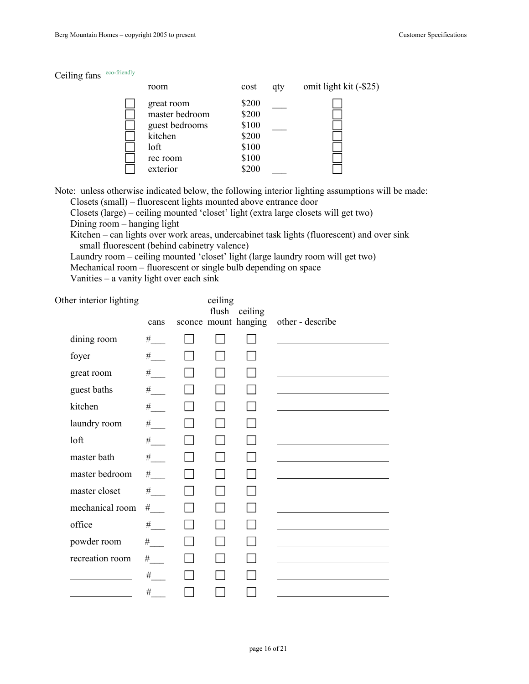| Ceiling fans | eco-friendly |
|--------------|--------------|
|--------------|--------------|

| room                                           | cost                    | atv | omit light kit $(-\$25)$ |
|------------------------------------------------|-------------------------|-----|--------------------------|
| great room<br>master bedroom<br>guest bedrooms | \$200<br>\$200<br>\$100 |     |                          |
| kitchen                                        | \$200                   |     |                          |
| loft                                           | \$100                   |     |                          |
| rec room                                       | \$100                   |     |                          |
| exterior                                       | \$200                   |     |                          |

Note: unless otherwise indicated below, the following interior lighting assumptions will be made: Closets (small) – fluorescent lights mounted above entrance door

Closets (large) – ceiling mounted 'closet' light (extra large closets will get two)

Dining room – hanging light

Kitchen – can lights over work areas, undercabinet task lights (fluorescent) and over sink small fluorescent (behind cabinetry valence)

Laundry room – ceiling mounted 'closet' light (large laundry room will get two)

Mechanical room – fluorescent or single bulb depending on space

Vanities – a vanity light over each sink

Other interior lighting ceiling

| ivi iliterior irgitting |                                                                                                                                                                                                                                                                                                                                                                                                                             | $\cdots$<br>flush | ceiling              |                  |
|-------------------------|-----------------------------------------------------------------------------------------------------------------------------------------------------------------------------------------------------------------------------------------------------------------------------------------------------------------------------------------------------------------------------------------------------------------------------|-------------------|----------------------|------------------|
|                         | cans                                                                                                                                                                                                                                                                                                                                                                                                                        |                   | sconce mount hanging | other - describe |
| dining room             | #                                                                                                                                                                                                                                                                                                                                                                                                                           |                   |                      |                  |
| foyer                   | $^\#$ $\_$                                                                                                                                                                                                                                                                                                                                                                                                                  |                   |                      |                  |
| great room              | $\begin{picture}(20,20) \put(0,0){\dashbox{0.5}(5,0){ }} \thicklines \put(0,0){\dashbox{0.5}(5,0){ }} \thicklines \put(0,0){\dashbox{0.5}(5,0){ }} \thicklines \put(0,0){\dashbox{0.5}(5,0){ }} \thicklines \put(0,0){\dashbox{0.5}(5,0){ }} \thicklines \put(0,0){\dashbox{0.5}(5,0){ }} \thicklines \put(0,0){\dashbox{0.5}(5,0){ }} \thicklines \put(0,0){\dashbox{0.5}(5,0){ }} \thicklines \put(0,0){\dashbox{0.5}(5,$ |                   |                      |                  |
| guest baths             | #                                                                                                                                                                                                                                                                                                                                                                                                                           |                   |                      |                  |
| kitchen                 | $\#$                                                                                                                                                                                                                                                                                                                                                                                                                        |                   |                      |                  |
| laundry room            | #                                                                                                                                                                                                                                                                                                                                                                                                                           |                   |                      |                  |
| loft                    | #                                                                                                                                                                                                                                                                                                                                                                                                                           |                   |                      |                  |
| master bath             | $^{\#}$                                                                                                                                                                                                                                                                                                                                                                                                                     |                   |                      |                  |
| master bedroom          | $\#$                                                                                                                                                                                                                                                                                                                                                                                                                        |                   |                      |                  |
| master closet           | $#$ <sub>---</sub>                                                                                                                                                                                                                                                                                                                                                                                                          |                   |                      |                  |
| mechanical room         | $\#$                                                                                                                                                                                                                                                                                                                                                                                                                        |                   |                      |                  |
| office                  | $\#$                                                                                                                                                                                                                                                                                                                                                                                                                        |                   |                      |                  |
| powder room             | $\#$                                                                                                                                                                                                                                                                                                                                                                                                                        |                   |                      |                  |
| recreation room         | $\#$ $\_$                                                                                                                                                                                                                                                                                                                                                                                                                   |                   |                      |                  |
|                         | #                                                                                                                                                                                                                                                                                                                                                                                                                           |                   |                      |                  |
|                         | #                                                                                                                                                                                                                                                                                                                                                                                                                           |                   |                      |                  |
|                         |                                                                                                                                                                                                                                                                                                                                                                                                                             |                   |                      |                  |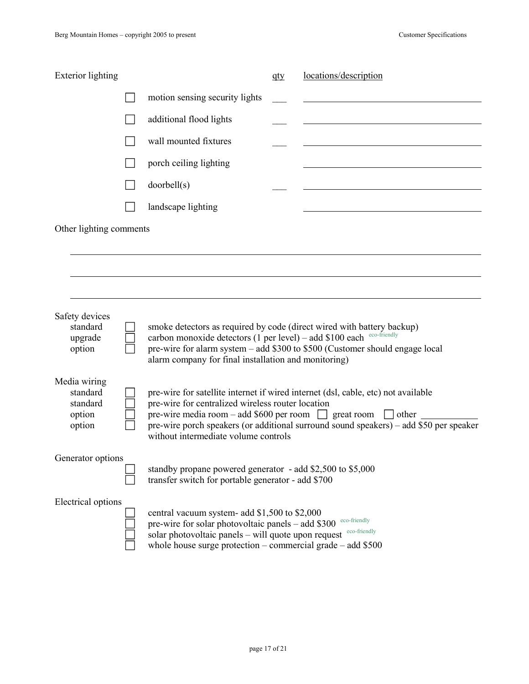| <b>Exterior</b> lighting                                 |                                                                                                                                                                                                                            | qty | locations/description                                                                                                                                                       |
|----------------------------------------------------------|----------------------------------------------------------------------------------------------------------------------------------------------------------------------------------------------------------------------------|-----|-----------------------------------------------------------------------------------------------------------------------------------------------------------------------------|
|                                                          | motion sensing security lights                                                                                                                                                                                             |     |                                                                                                                                                                             |
|                                                          | additional flood lights                                                                                                                                                                                                    |     |                                                                                                                                                                             |
|                                                          | wall mounted fixtures                                                                                                                                                                                                      |     |                                                                                                                                                                             |
|                                                          | porch ceiling lighting                                                                                                                                                                                                     |     |                                                                                                                                                                             |
|                                                          | doorbell(s)                                                                                                                                                                                                                |     |                                                                                                                                                                             |
|                                                          | landscape lighting                                                                                                                                                                                                         |     |                                                                                                                                                                             |
| Other lighting comments                                  |                                                                                                                                                                                                                            |     |                                                                                                                                                                             |
|                                                          |                                                                                                                                                                                                                            |     |                                                                                                                                                                             |
| Safety devices<br>standard<br>upgrade<br>option          | smoke detectors as required by code (direct wired with battery backup)<br>carbon monoxide detectors (1 per level) - add \$100 each eco-friendly<br>alarm company for final installation and monitoring)                    |     | pre-wire for alarm system – add \$300 to \$500 (Customer should engage local                                                                                                |
| Media wiring<br>standard<br>standard<br>option<br>option | pre-wire for centralized wireless router location<br>pre-wire media room – add \$600 per room $\Box$ great room $\Box$ other<br>without intermediate volume controls                                                       |     | pre-wire for satellite internet if wired internet (dsl, cable, etc) not available<br>pre-wire porch speakers (or additional surround sound speakers) – add \$50 per speaker |
| Generator options                                        | standby propane powered generator - add \$2,500 to \$5,000<br>transfer switch for portable generator - add \$700                                                                                                           |     |                                                                                                                                                                             |
| Electrical options                                       | central vacuum system- add \$1,500 to \$2,000<br>pre-wire for solar photovoltaic panels – add \$300<br>solar photovoltaic panels – will quote upon request<br>whole house surge protection – commercial grade – add $$500$ |     | eco-friendly<br>eco-friendly                                                                                                                                                |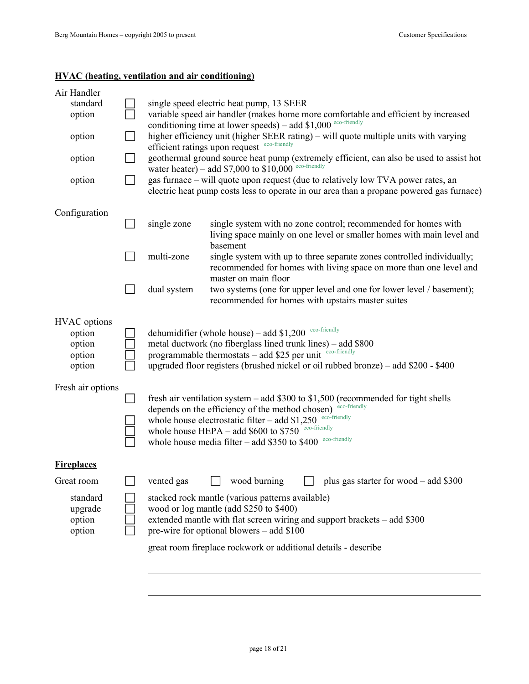### **HVAC (heating, ventilation and air conditioning)**

 $\overline{a}$ 

| Air Handler<br>standard<br>option<br>option<br>option<br>option | single speed electric heat pump, 13 SEER<br>variable speed air handler (makes home more comfortable and efficient by increased<br>conditioning time at lower speeds) – add $$1,000$ <sup>eco-friendly</sup><br>higher efficiency unit (higher SEER rating) – will quote multiple units with varying<br>efficient ratings upon request eco-friendly<br>geothermal ground source heat pump (extremely efficient, can also be used to assist hot<br>water heater) – add \$7,000 to $$10,000$ eco-friendly<br>gas furnace – will quote upon request (due to relatively low TVA power rates, an<br>electric heat pump costs less to operate in our area than a propane powered gas furnace) |
|-----------------------------------------------------------------|----------------------------------------------------------------------------------------------------------------------------------------------------------------------------------------------------------------------------------------------------------------------------------------------------------------------------------------------------------------------------------------------------------------------------------------------------------------------------------------------------------------------------------------------------------------------------------------------------------------------------------------------------------------------------------------|
| Configuration                                                   | single system with no zone control; recommended for homes with<br>single zone<br>living space mainly on one level or smaller homes with main level and<br>basement<br>multi-zone<br>single system with up to three separate zones controlled individually;<br>recommended for homes with living space on more than one level and<br>master on main floor                                                                                                                                                                                                                                                                                                                               |
|                                                                 | two systems (one for upper level and one for lower level / basement);<br>dual system<br>recommended for homes with upstairs master suites                                                                                                                                                                                                                                                                                                                                                                                                                                                                                                                                              |
| <b>HVAC</b> options<br>option<br>option<br>option<br>option     | eco-friendly<br>dehumidifier (whole house) – add $$1,200$<br>metal ductwork (no fiberglass lined trunk lines) – add \$800<br>programmable thermostats - add \$25 per unit eco-friendly<br>upgraded floor registers (brushed nickel or oil rubbed bronze) – add \$200 - \$400                                                                                                                                                                                                                                                                                                                                                                                                           |
| Fresh air options                                               | fresh air ventilation system $-$ add \$300 to \$1,500 (recommended for tight shells<br>eco-friendly<br>depends on the efficiency of the method chosen)<br>eco-friendly<br>whole house electrostatic filter $-$ add \$1,250<br>whole house HEPA - add \$600 to \$750 eco-friendly<br>eco-friendly<br>whole house media filter $-$ add \$350 to \$400                                                                                                                                                                                                                                                                                                                                    |
| <b>Fireplaces</b>                                               |                                                                                                                                                                                                                                                                                                                                                                                                                                                                                                                                                                                                                                                                                        |
| Great room                                                      | wood burning<br>vented gas<br>plus gas starter for wood $-$ add \$300                                                                                                                                                                                                                                                                                                                                                                                                                                                                                                                                                                                                                  |
| standard<br>upgrade<br>option<br>option                         | stacked rock mantle (various patterns available)<br>wood or log mantle (add \$250 to \$400)<br>extended mantle with flat screen wiring and support brackets – add \$300<br>pre-wire for optional blowers $-$ add \$100                                                                                                                                                                                                                                                                                                                                                                                                                                                                 |
|                                                                 | great room fireplace rockwork or additional details - describe                                                                                                                                                                                                                                                                                                                                                                                                                                                                                                                                                                                                                         |
|                                                                 |                                                                                                                                                                                                                                                                                                                                                                                                                                                                                                                                                                                                                                                                                        |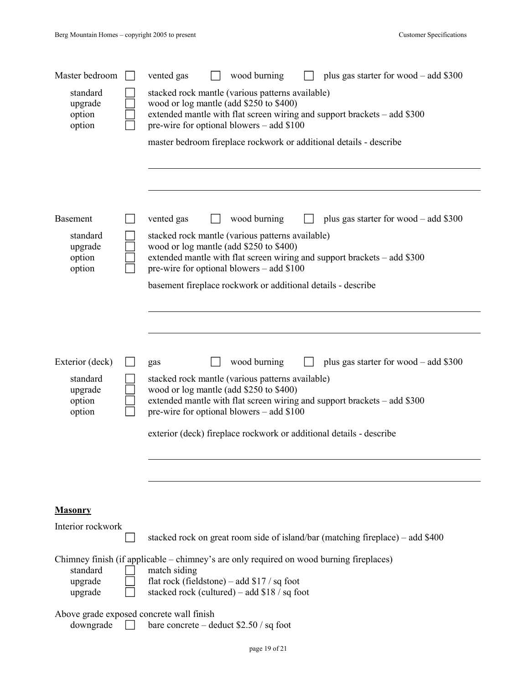| Master bedroom                          | wood burning<br>plus gas starter for wood $-$ add \$300<br>vented gas                                                                                                                                                |
|-----------------------------------------|----------------------------------------------------------------------------------------------------------------------------------------------------------------------------------------------------------------------|
| standard<br>upgrade<br>option<br>option | stacked rock mantle (various patterns available)<br>wood or log mantle (add \$250 to \$400)<br>extended mantle with flat screen wiring and support brackets – add \$300<br>pre-wire for optional blowers – add \$100 |
|                                         | master bedroom fireplace rockwork or additional details - describe                                                                                                                                                   |
|                                         |                                                                                                                                                                                                                      |
|                                         |                                                                                                                                                                                                                      |
|                                         |                                                                                                                                                                                                                      |
| <b>Basement</b>                         | wood burning<br>plus gas starter for wood – add \$300<br>vented gas                                                                                                                                                  |
| standard<br>upgrade                     | stacked rock mantle (various patterns available)<br>wood or log mantle (add \$250 to \$400)                                                                                                                          |
| option<br>option                        | extended mantle with flat screen wiring and support brackets – add \$300<br>pre-wire for optional blowers – add \$100                                                                                                |
|                                         | basement fireplace rockwork or additional details - describe                                                                                                                                                         |
|                                         |                                                                                                                                                                                                                      |
|                                         |                                                                                                                                                                                                                      |
|                                         |                                                                                                                                                                                                                      |
| Exterior (deck)                         | wood burning<br>plus gas starter for wood – add \$300<br>gas                                                                                                                                                         |
| standard<br>upgrade                     | stacked rock mantle (various patterns available)<br>wood or log mantle (add \$250 to \$400)                                                                                                                          |
| option<br>option                        | extended mantle with flat screen wiring and support brackets - add \$300<br>pre-wire for optional blowers – add \$100                                                                                                |
|                                         | exterior (deck) fireplace rockwork or additional details - describe                                                                                                                                                  |
|                                         |                                                                                                                                                                                                                      |
|                                         |                                                                                                                                                                                                                      |
|                                         |                                                                                                                                                                                                                      |
| <b>Masonry</b>                          |                                                                                                                                                                                                                      |
| Interior rockwork                       | stacked rock on great room side of island/bar (matching fireplace) – add \$400                                                                                                                                       |
|                                         | Chimney finish (if applicable – chimney's are only required on wood burning fireplaces)                                                                                                                              |
| standard<br>upgrade                     | match siding<br>flat rock (fieldstone) – add \$17 / sq foot                                                                                                                                                          |
| upgrade                                 | stacked rock (cultured) – add $$18 / sq$ foot                                                                                                                                                                        |
|                                         | Above grade exposed concrete wall finish                                                                                                                                                                             |
| downgrade                               | bare concrete – deduct $$2.50 / sq$ foot                                                                                                                                                                             |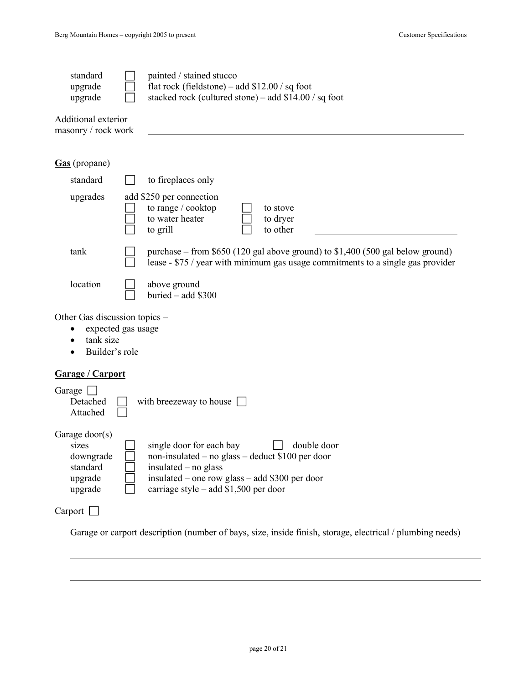$\overline{a}$ 

| standard<br>upgrade<br>upgrade                                                     | painted / stained stucco<br>flat rock (fieldstone) – add $$12.00 / sq$ foot<br>stacked rock (cultured stone) – add \$14.00 / sq foot                                                                             |
|------------------------------------------------------------------------------------|------------------------------------------------------------------------------------------------------------------------------------------------------------------------------------------------------------------|
| Additional exterior<br>masonry / rock work                                         |                                                                                                                                                                                                                  |
| Gas (propane)                                                                      |                                                                                                                                                                                                                  |
| standard                                                                           | to fireplaces only                                                                                                                                                                                               |
| upgrades                                                                           | add \$250 per connection<br>to range / cooktop<br>to stove<br>to water heater<br>to dryer<br>to other<br>to grill                                                                                                |
| tank                                                                               | purchase – from $$650$ (120 gal above ground) to $$1,400$ (500 gal below ground)<br>lease - \$75 / year with minimum gas usage commitments to a single gas provider                                              |
| location                                                                           | above ground<br>buried - add \$300                                                                                                                                                                               |
| Other Gas discussion topics -<br>expected gas usage<br>tank size<br>Builder's role |                                                                                                                                                                                                                  |
| Garage / Carport                                                                   |                                                                                                                                                                                                                  |
| Garage [<br>Detached<br>Attached                                                   | with breezeway to house $\Box$                                                                                                                                                                                   |
| Garage $door(s)$<br>sizes<br>downgrade<br>standard<br>upgrade<br>upgrade           | single door for each bay<br>double door<br>non-insulated – no glass – deduct $$100$ per door<br>insulated - no glass<br>insulated – one row glass – add \$300 per door<br>carriage style – add $$1,500$ per door |
| Carport                                                                            |                                                                                                                                                                                                                  |

Garage or carport description (number of bays, size, inside finish, storage, electrical / plumbing needs)